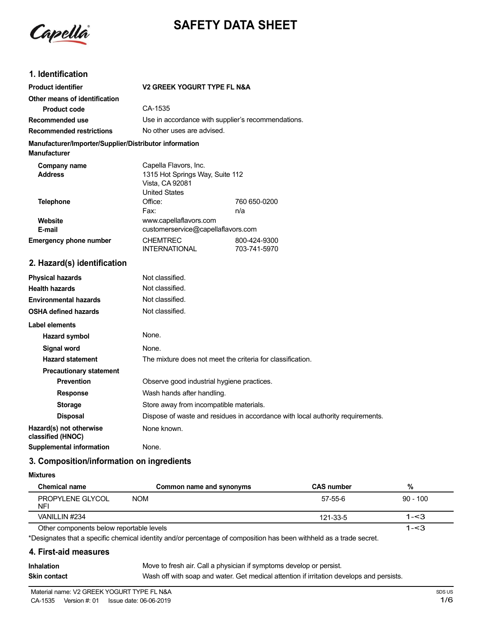

# **SAFETY DATA SHEET**

# **1. Identification**

| <b>Product identifier</b>                                                     | <b>V2 GREEK YOGURT TYPE FL N&amp;A</b>                                                              |              |  |  |
|-------------------------------------------------------------------------------|-----------------------------------------------------------------------------------------------------|--------------|--|--|
| Other means of identification                                                 |                                                                                                     |              |  |  |
| <b>Product code</b>                                                           | CA-1535                                                                                             |              |  |  |
| Recommended use                                                               | Use in accordance with supplier's recommendations.                                                  |              |  |  |
| <b>Recommended restrictions</b>                                               | No other uses are advised.                                                                          |              |  |  |
| Manufacturer/Importer/Supplier/Distributor information<br><b>Manufacturer</b> |                                                                                                     |              |  |  |
| Company name<br><b>Address</b>                                                | Capella Flavors, Inc.<br>1315 Hot Springs Way, Suite 112<br>Vista, CA 92081<br><b>United States</b> |              |  |  |
| <b>Telephone</b>                                                              | Office:                                                                                             | 760 650-0200 |  |  |
|                                                                               | Fax:                                                                                                | n/a          |  |  |
| Website<br>E-mail                                                             | www.capellaflavors.com<br>customerservice@capellaflavors.com                                        |              |  |  |
| <b>Emergency phone number</b>                                                 | <b>CHEMTREC</b><br>800-424-9300<br><b>INTERNATIONAL</b><br>703-741-5970                             |              |  |  |
| 2. Hazard(s) identification                                                   |                                                                                                     |              |  |  |
| <b>Physical hazards</b>                                                       | Not classified.                                                                                     |              |  |  |
| <b>Health hazards</b>                                                         | Not classified.                                                                                     |              |  |  |
| <b>Environmental hazards</b>                                                  | Not classified.                                                                                     |              |  |  |
| <b>OSHA defined hazards</b>                                                   | Not classified.                                                                                     |              |  |  |
| <b>Label elements</b>                                                         |                                                                                                     |              |  |  |
| <b>Hazard symbol</b>                                                          | None.                                                                                               |              |  |  |
| <b>Signal word</b>                                                            | None.                                                                                               |              |  |  |
| <b>Hazard statement</b>                                                       | The mixture does not meet the criteria for classification.                                          |              |  |  |
| <b>Precautionary statement</b>                                                |                                                                                                     |              |  |  |
| <b>Prevention</b>                                                             | Observe good industrial hygiene practices.                                                          |              |  |  |

**Response** Wash hands after handling.

**Storage** Store away from incompatible materials. **Disposal** Dispose of waste and residues in accordance with local authority requirements. **Hazard(s)** not otherwise None known. **classified (HNOC) Supplemental information** None.

**3. Composition/information on ingredients**

#### **Mixtures**

| Chemical name                            | Common name and synonyms | <b>CAS number</b> | %          |
|------------------------------------------|--------------------------|-------------------|------------|
| PROPYLENE GLYCOL<br><b>NFI</b>           | <b>NOM</b>               | 57-55-6           | $90 - 100$ |
| VANILLIN #234                            |                          | 121-33-5          | $1 - 3$    |
| Other components below reportable levels |                          |                   | 1-<3       |

Other components below reportable levels

\*Designates that a specific chemical identity and/or percentage of composition has been withheld as a trade secret.

## **4. First-aid measures**

| <b>Inhalation</b> | Move to fresh air. Call a physician if symptoms develop or persist.                      |
|-------------------|------------------------------------------------------------------------------------------|
| Skin contact      | Wash off with soap and water. Get medical attention if irritation develops and persists. |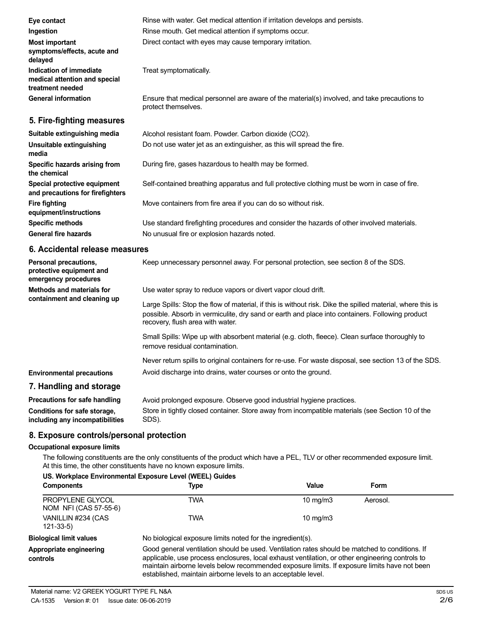| Eye contact                                                                  | Rinse with water. Get medical attention if irritation develops and persists.                                        |
|------------------------------------------------------------------------------|---------------------------------------------------------------------------------------------------------------------|
| Ingestion                                                                    | Rinse mouth. Get medical attention if symptoms occur.                                                               |
| <b>Most important</b><br>symptoms/effects, acute and<br>delayed              | Direct contact with eyes may cause temporary irritation.                                                            |
| Indication of immediate<br>medical attention and special<br>treatment needed | Treat symptomatically.                                                                                              |
| <b>General information</b>                                                   | Ensure that medical personnel are aware of the material(s) involved, and take precautions to<br>protect themselves. |
| 5. Fire-fighting measures                                                    |                                                                                                                     |
| Suitable extinguishing media                                                 | Alcohol resistant foam. Powder. Carbon dioxide (CO2).                                                               |
| Unsuitable extinguishing<br>media                                            | Do not use water jet as an extinguisher, as this will spread the fire.                                              |
| Specific hazards arising from<br>the chemical                                | During fire, gases hazardous to health may be formed.                                                               |
| Special protective equipment<br>and precautions for firefighters             | Self-contained breathing apparatus and full protective clothing must be worn in case of fire.                       |
| <b>Fire fighting</b><br>equipment/instructions                               | Move containers from fire area if you can do so without risk.                                                       |
| <b>Specific methods</b>                                                      | Use standard firefighting procedures and consider the hazards of other involved materials.                          |
| General fire hazards                                                         | No unusual fire or explosion hazards noted.                                                                         |

#### **6. Accidental release measures**

| Personal precautions,<br>protective equipment and<br>emergency procedures | Keep unnecessary personnel away. For personal protection, see section 8 of the SDS.                                                                                                                                                               |  |
|---------------------------------------------------------------------------|---------------------------------------------------------------------------------------------------------------------------------------------------------------------------------------------------------------------------------------------------|--|
| Methods and materials for<br>containment and cleaning up                  | Use water spray to reduce vapors or divert vapor cloud drift.                                                                                                                                                                                     |  |
|                                                                           | Large Spills: Stop the flow of material, if this is without risk. Dike the spilled material, where this is<br>possible. Absorb in vermiculite, dry sand or earth and place into containers. Following product<br>recovery, flush area with water. |  |
|                                                                           | Small Spills: Wipe up with absorbent material (e.g. cloth, fleece). Clean surface thoroughly to<br>remove residual contamination.                                                                                                                 |  |
|                                                                           | Never return spills to original containers for re-use. For waste disposal, see section 13 of the SDS.                                                                                                                                             |  |
| <b>Environmental precautions</b>                                          | Avoid discharge into drains, water courses or onto the ground.                                                                                                                                                                                    |  |
| 7. Handling and storage                                                   |                                                                                                                                                                                                                                                   |  |
| <b>Precautions for safe handling</b>                                      | Avoid prolonged exposure. Observe good industrial hygiene practices.                                                                                                                                                                              |  |
|                                                                           |                                                                                                                                                                                                                                                   |  |

| <b>Processions</b> for bare manaming | 7 word proforged exposure. Observe good industrial rivgione practices.                           |
|--------------------------------------|--------------------------------------------------------------------------------------------------|
| Conditions for safe storage,         | Store in tightly closed container. Store away from incompatible materials (see Section 10 of the |
| including any incompatibilities      | SDS).                                                                                            |

# **8. Exposure controls/personal protection**

# **Occupational exposure limits**

The following constituents are the only constituents of the product which have a PEL, TLV or other recommended exposure limit. At this time, the other constituents have no known exposure limits.

| US. Workplace Environmental Exposure Level (WEEL) Guides |                                                                                                                                                                                                                                                                                                                                                                    |                   |          |  |
|----------------------------------------------------------|--------------------------------------------------------------------------------------------------------------------------------------------------------------------------------------------------------------------------------------------------------------------------------------------------------------------------------------------------------------------|-------------------|----------|--|
| <b>Components</b>                                        | Type                                                                                                                                                                                                                                                                                                                                                               | Value             | Form     |  |
| PROPYLENE GLYCOL<br>NOM NFI (CAS 57-55-6)                | TWA                                                                                                                                                                                                                                                                                                                                                                | $10 \text{ mg/m}$ | Aerosol. |  |
| VANILLIN #234 (CAS<br>$121 - 33 - 5$                     | TWA                                                                                                                                                                                                                                                                                                                                                                | $10 \text{ mg/m}$ |          |  |
| <b>Biological limit values</b>                           | No biological exposure limits noted for the ingredient(s).                                                                                                                                                                                                                                                                                                         |                   |          |  |
| Appropriate engineering<br>controls                      | Good general ventilation should be used. Ventilation rates should be matched to conditions. If<br>applicable, use process enclosures, local exhaust ventilation, or other engineering controls to<br>maintain airborne levels below recommended exposure limits. If exposure limits have not been<br>established, maintain airborne levels to an acceptable level. |                   |          |  |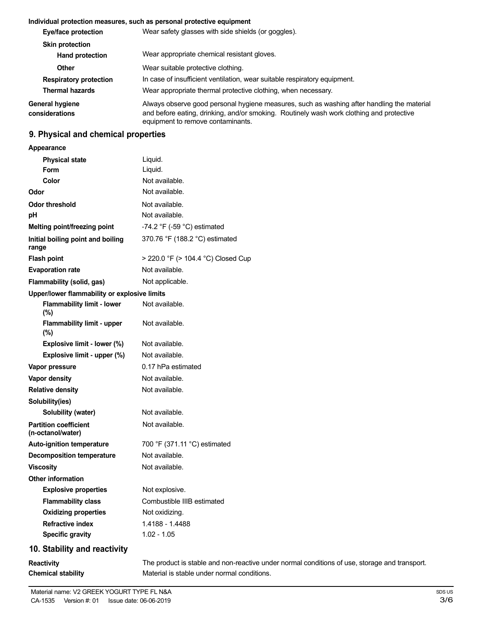# **Individual protection measures, such as personal protective equipment**

| Eye/face protection               | Wear safety glasses with side shields (or goggles).                                                                                                                                                                         |  |  |
|-----------------------------------|-----------------------------------------------------------------------------------------------------------------------------------------------------------------------------------------------------------------------------|--|--|
| <b>Skin protection</b>            |                                                                                                                                                                                                                             |  |  |
| <b>Hand protection</b>            | Wear appropriate chemical resistant gloves.                                                                                                                                                                                 |  |  |
| Other                             | Wear suitable protective clothing.                                                                                                                                                                                          |  |  |
| <b>Respiratory protection</b>     | In case of insufficient ventilation, wear suitable respiratory equipment.                                                                                                                                                   |  |  |
| <b>Thermal hazards</b>            | Wear appropriate thermal protective clothing, when necessary.                                                                                                                                                               |  |  |
| General hygiene<br>considerations | Always observe good personal hygiene measures, such as washing after handling the material<br>and before eating, drinking, and/or smoking. Routinely wash work clothing and protective<br>equipment to remove contaminants. |  |  |

# **9. Physical and chemical properties**

#### **Appearance**

| <b>Physical state</b>                             | Liquid.                            |
|---------------------------------------------------|------------------------------------|
| Form                                              | Liquid.                            |
| Color                                             | Not available.                     |
| Odor                                              | Not available.                     |
| <b>Odor threshold</b>                             | Not available.                     |
| рH                                                | Not available.                     |
| <b>Melting point/freezing point</b>               | -74.2 °F (-59 °C) estimated        |
| Initial boiling point and boiling<br>range        | 370.76 °F (188.2 °C) estimated     |
| <b>Flash point</b>                                | > 220.0 °F (> 104.4 °C) Closed Cup |
| <b>Evaporation rate</b>                           | Not available.                     |
| Flammability (solid, gas)                         | Not applicable.                    |
| Upper/lower flammability or explosive limits      |                                    |
| <b>Flammability limit - lower</b><br>$(\%)$       | Not available.                     |
| <b>Flammability limit - upper</b><br>$(\%)$       | Not available.                     |
| Explosive limit - lower (%)                       | Not available.                     |
| Explosive limit - upper (%)                       | Not available.                     |
| Vapor pressure                                    | 0.17 hPa estimated                 |
| Vapor density                                     | Not available.                     |
| <b>Relative density</b>                           | Not available.                     |
| Solubility(ies)                                   |                                    |
| Solubility (water)                                | Not available.                     |
| <b>Partition coefficient</b><br>(n-octanol/water) | Not available.                     |
| <b>Auto-ignition temperature</b>                  | 700 °F (371.11 °C) estimated       |
| <b>Decomposition temperature</b>                  | Not available.                     |
| <b>Viscosity</b>                                  | Not available.                     |
| <b>Other information</b>                          |                                    |
| <b>Explosive properties</b>                       | Not explosive.                     |
| <b>Flammability class</b>                         | Combustible IIIB estimated         |
| <b>Oxidizing properties</b>                       | Not oxidizing.                     |
| <b>Refractive index</b>                           | 1.4188 - 1.4488                    |
| <b>Specific gravity</b>                           | $1.02 - 1.05$                      |
| 10. Stability and reactivity                      |                                    |

The product is stable and non-reactive under normal conditions of use, storage and transport. Material is stable under normal conditions.

**Reactivity**

**Chemical stability**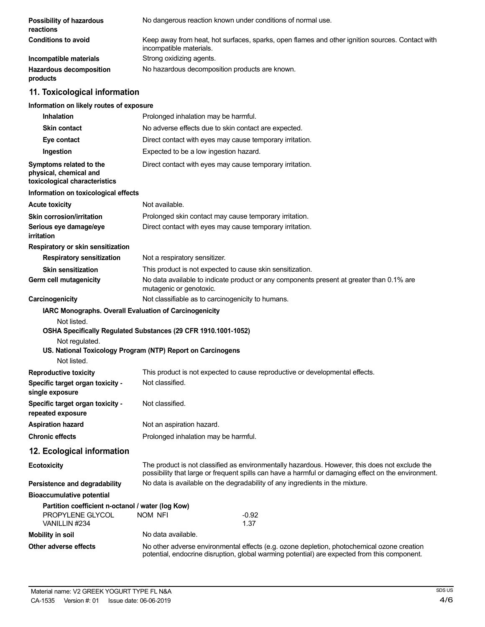| Possibility of hazardous<br>reactions                                                  | No dangerous reaction known under conditions of normal use.                                                                   |                                                                                                                                                                                                       |  |
|----------------------------------------------------------------------------------------|-------------------------------------------------------------------------------------------------------------------------------|-------------------------------------------------------------------------------------------------------------------------------------------------------------------------------------------------------|--|
| <b>Conditions to avoid</b>                                                             | Keep away from heat, hot surfaces, sparks, open flames and other ignition sources. Contact with<br>incompatible materials.    |                                                                                                                                                                                                       |  |
| Incompatible materials                                                                 | Strong oxidizing agents.                                                                                                      |                                                                                                                                                                                                       |  |
| <b>Hazardous decomposition</b><br>products                                             | No hazardous decomposition products are known.                                                                                |                                                                                                                                                                                                       |  |
| 11. Toxicological information                                                          |                                                                                                                               |                                                                                                                                                                                                       |  |
| Information on likely routes of exposure                                               |                                                                                                                               |                                                                                                                                                                                                       |  |
| Inhalation                                                                             | Prolonged inhalation may be harmful.                                                                                          |                                                                                                                                                                                                       |  |
| <b>Skin contact</b>                                                                    | No adverse effects due to skin contact are expected.                                                                          |                                                                                                                                                                                                       |  |
| Eye contact                                                                            | Direct contact with eyes may cause temporary irritation.                                                                      |                                                                                                                                                                                                       |  |
| Ingestion                                                                              | Expected to be a low ingestion hazard.                                                                                        |                                                                                                                                                                                                       |  |
| Symptoms related to the<br>physical, chemical and<br>toxicological characteristics     | Direct contact with eyes may cause temporary irritation.                                                                      |                                                                                                                                                                                                       |  |
| Information on toxicological effects                                                   |                                                                                                                               |                                                                                                                                                                                                       |  |
| <b>Acute toxicity</b>                                                                  | Not available.                                                                                                                |                                                                                                                                                                                                       |  |
| Skin corrosion/irritation                                                              | Prolonged skin contact may cause temporary irritation.                                                                        |                                                                                                                                                                                                       |  |
| Serious eye damage/eye<br>irritation                                                   | Direct contact with eyes may cause temporary irritation.                                                                      |                                                                                                                                                                                                       |  |
| Respiratory or skin sensitization                                                      |                                                                                                                               |                                                                                                                                                                                                       |  |
| <b>Respiratory sensitization</b>                                                       | Not a respiratory sensitizer.                                                                                                 |                                                                                                                                                                                                       |  |
| <b>Skin sensitization</b>                                                              | This product is not expected to cause skin sensitization.                                                                     |                                                                                                                                                                                                       |  |
| Germ cell mutagenicity                                                                 | No data available to indicate product or any components present at greater than 0.1% are<br>mutagenic or genotoxic.           |                                                                                                                                                                                                       |  |
| Carcinogenicity                                                                        | Not classifiable as to carcinogenicity to humans.                                                                             |                                                                                                                                                                                                       |  |
| IARC Monographs. Overall Evaluation of Carcinogenicity                                 |                                                                                                                               |                                                                                                                                                                                                       |  |
| Not listed.<br>Not regulated.<br>Not listed.                                           | OSHA Specifically Regulated Substances (29 CFR 1910.1001-1052)<br>US. National Toxicology Program (NTP) Report on Carcinogens |                                                                                                                                                                                                       |  |
| <b>Reproductive toxicity</b>                                                           | This product is not expected to cause reproductive or developmental effects.                                                  |                                                                                                                                                                                                       |  |
| Specific target organ toxicity -<br>single exposure                                    | Not classified.                                                                                                               |                                                                                                                                                                                                       |  |
| Specific target organ toxicity -<br>repeated exposure                                  | Not classified.                                                                                                               |                                                                                                                                                                                                       |  |
| <b>Aspiration hazard</b>                                                               | Not an aspiration hazard.                                                                                                     |                                                                                                                                                                                                       |  |
| <b>Chronic effects</b>                                                                 | Prolonged inhalation may be harmful.                                                                                          |                                                                                                                                                                                                       |  |
| 12. Ecological information                                                             |                                                                                                                               |                                                                                                                                                                                                       |  |
| <b>Ecotoxicity</b>                                                                     |                                                                                                                               | The product is not classified as environmentally hazardous. However, this does not exclude the<br>possibility that large or frequent spills can have a harmful or damaging effect on the environment. |  |
| Persistence and degradability                                                          | No data is available on the degradability of any ingredients in the mixture.                                                  |                                                                                                                                                                                                       |  |
| <b>Bioaccumulative potential</b>                                                       |                                                                                                                               |                                                                                                                                                                                                       |  |
| Partition coefficient n-octanol / water (log Kow)<br>PROPYLENE GLYCOL<br>VANILLIN #234 | NOM NFI                                                                                                                       | $-0.92$<br>1.37                                                                                                                                                                                       |  |
| <b>Mobility in soil</b>                                                                | No data available.                                                                                                            |                                                                                                                                                                                                       |  |
| Other adverse effects                                                                  |                                                                                                                               | No other adverse environmental effects (e.g. ozone depletion, photochemical ozone creation                                                                                                            |  |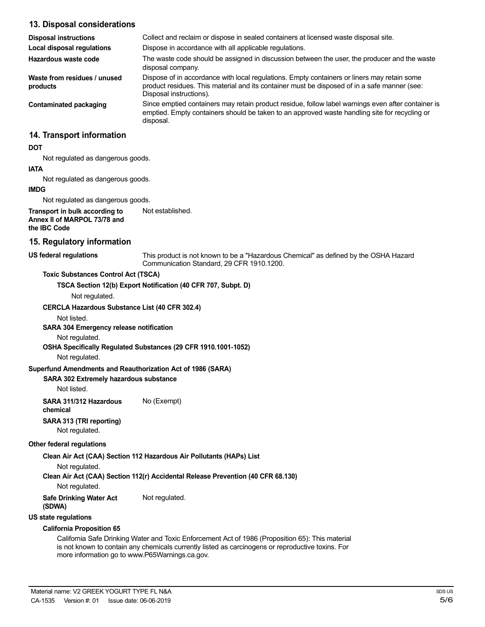| 13. Disposal considerations                                                    |                                                                                                                                                                                                                        |
|--------------------------------------------------------------------------------|------------------------------------------------------------------------------------------------------------------------------------------------------------------------------------------------------------------------|
| <b>Disposal instructions</b>                                                   | Collect and reclaim or dispose in sealed containers at licensed waste disposal site.                                                                                                                                   |
| <b>Local disposal regulations</b>                                              | Dispose in accordance with all applicable regulations.                                                                                                                                                                 |
| Hazardous waste code                                                           | The waste code should be assigned in discussion between the user, the producer and the waste<br>disposal company.                                                                                                      |
| Waste from residues / unused<br>products                                       | Dispose of in accordance with local regulations. Empty containers or liners may retain some<br>product residues. This material and its container must be disposed of in a safe manner (see:<br>Disposal instructions). |
| <b>Contaminated packaging</b>                                                  | Since emptied containers may retain product residue, follow label warnings even after container is<br>emptied. Empty containers should be taken to an approved waste handling site for recycling or<br>disposal.       |
| 14. Transport information                                                      |                                                                                                                                                                                                                        |
| <b>DOT</b>                                                                     |                                                                                                                                                                                                                        |
| Not regulated as dangerous goods.                                              |                                                                                                                                                                                                                        |
| <b>IATA</b>                                                                    |                                                                                                                                                                                                                        |
| Not regulated as dangerous goods.                                              |                                                                                                                                                                                                                        |
| <b>IMDG</b>                                                                    |                                                                                                                                                                                                                        |
| Not regulated as dangerous goods.                                              |                                                                                                                                                                                                                        |
| Transport in bulk according to<br>Annex II of MARPOL 73/78 and<br>the IBC Code | Not established.                                                                                                                                                                                                       |
| 15. Regulatory information                                                     |                                                                                                                                                                                                                        |
| <b>US federal regulations</b>                                                  | This product is not known to be a "Hazardous Chemical" as defined by the OSHA Hazard<br>Communication Standard, 29 CFR 1910.1200.                                                                                      |
| <b>Toxic Substances Control Act (TSCA)</b>                                     |                                                                                                                                                                                                                        |
|                                                                                | TSCA Section 12(b) Export Notification (40 CFR 707, Subpt. D)                                                                                                                                                          |
| Not regulated.                                                                 |                                                                                                                                                                                                                        |
| <b>CERCLA Hazardous Substance List (40 CFR 302.4)</b>                          |                                                                                                                                                                                                                        |
| Not listed.                                                                    |                                                                                                                                                                                                                        |
| <b>SARA 304 Emergency release notification</b>                                 |                                                                                                                                                                                                                        |
| Not regulated.                                                                 |                                                                                                                                                                                                                        |
|                                                                                | 00114 Outside alle Deputated Outstander (00.0ED 4040.4004.40E0)                                                                                                                                                        |

**OSHA Specifically Regulated Substances (29 CFR 1910.1001-1052)**

Not regulated.

# **Superfund Amendments and Reauthorization Act of 1986 (SARA)**

### **SARA 302 Extremely hazardous substance**

Not listed.

**SARA 311/312 Hazardous** No (Exempt) **chemical**

**SARA 313 (TRI reporting)**

Not regulated.

### **Other federal regulations**

**Clean Air Act (CAA) Section 112 Hazardous Air Pollutants (HAPs) List**

Not regulated.

**Clean Air Act (CAA) Section 112(r) Accidental Release Prevention (40 CFR 68.130)**

Not regulated.

**Safe Drinking Water Act** Not regulated.

**(SDWA)**

**US state regulations**

#### **California Proposition 65**

California Safe Drinking Water and Toxic Enforcement Act of 1986 (Proposition 65): This material is not known to contain any chemicals currently listed as carcinogens or reproductive toxins. For more information go to www.P65Warnings.ca.gov.